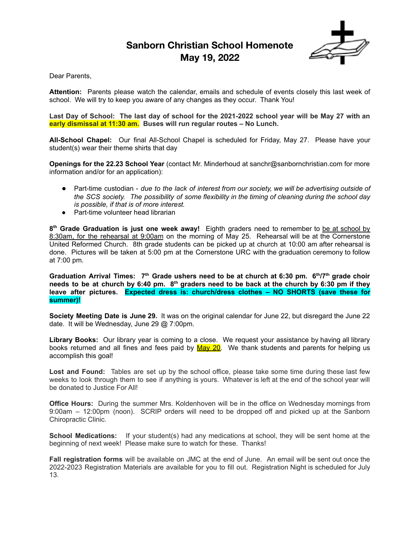# **Sanborn Christian School Homenote May 19, 2022**



Dear Parents,

**Attention:** Parents please watch the calendar, emails and schedule of events closely this last week of school. We will try to keep you aware of any changes as they occur. Thank You!

Last Day of School: The last day of school for the 2021-2022 school year will be May 27 with an **early dismissal at 11:30 am. Buses will run regular routes – No Lunch.**

**All-School Chapel:** Our final All-School Chapel is scheduled for Friday, May 27. Please have your student(s) wear their theme shirts that day

**Openings for the 22.23 School Year** (contact Mr. Minderhoud at sanchr@sanbornchristian.com for more information and/or for an application):

- Part-time custodian *due to the lack of interest from our society, we will be advertising outside of the SCS society. The possibility of some flexibility in the timing of cleaning during the school day is possible, if that is of more interest.*
- Part-time volunteer head librarian

**8 th Grade Graduation is just one week away!** Eighth graders need to remember to be at school by 8:30am, for the rehearsal at 9:00am on the morning of May 25. Rehearsal will be at the Cornerstone United Reformed Church. 8th grade students can be picked up at church at 10:00 am after rehearsal is done. Pictures will be taken at 5:00 pm at the Cornerstone URC with the graduation ceremony to follow at 7:00 pm.

Graduation Arrival Times:  $7<sup>th</sup>$  Grade ushers need to be at church at 6:30 pm. 6<sup>th</sup>/7<sup>th</sup> grade choir needs to be at church by 6:40 pm.  $8^{th}$  graders need to be back at the church by 6:30 pm if they **leave after pictures. Expected dress is: church/dress clothes – NO SHORTS (save these for summer)!**

**Society Meeting Date is June 29.** It was on the original calendar for June 22, but disregard the June 22 date. It will be Wednesday, June 29 @ 7:00pm.

**Library Books:** Our library year is coming to a close. We request your assistance by having all library books returned and all fines and fees paid by May 20. We thank students and parents for helping us accomplish this goal!

**Lost and Found:** Tables are set up by the school office, please take some time during these last few weeks to look through them to see if anything is yours. Whatever is left at the end of the school year will be donated to Justice For All!

**Office Hours:** During the summer Mrs. Koldenhoven will be in the office on Wednesday mornings from 9:00am – 12:00pm (noon). SCRIP orders will need to be dropped off and picked up at the Sanborn Chiropractic Clinic.

**School Medications:** If your student(s) had any medications at school, they will be sent home at the beginning of next week! Please make sure to watch for these. Thanks!

**Fall registration forms** will be available on JMC at the end of June. An email will be sent out once the 2022-2023 Registration Materials are available for you to fill out. Registration Night is scheduled for July 13.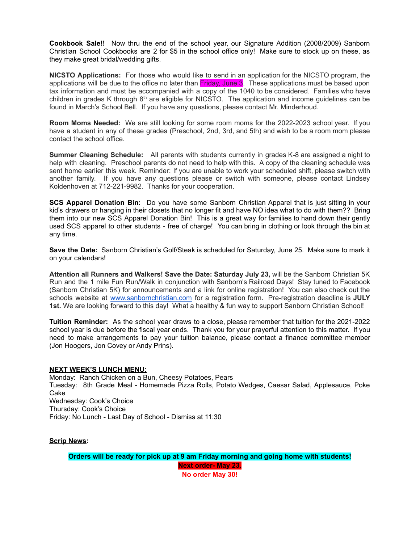**Cookbook Sale!!** Now thru the end of the school year, our Signature Addition (2008/2009) Sanborn Christian School Cookbooks are 2 for \$5 in the school office only! Make sure to stock up on these, as they make great bridal/wedding gifts.

**NICSTO Applications:** For those who would like to send in an application for the NICSTO program, the applications will be due to the office no later than Friday, June 3. These applications must be based upon tax information and must be accompanied with a copy of the 1040 to be considered. Families who have children in grades K through  $8<sup>th</sup>$  are eligible for NICSTO. The application and income guidelines can be found in March's School Bell. If you have any questions, please contact Mr. Minderhoud.

**Room Moms Needed:** We are still looking for some room moms for the 2022-2023 school year. If you have a student in any of these grades (Preschool, 2nd, 3rd, and 5th) and wish to be a room mom please contact the school office.

**Summer Cleaning Schedule:** All parents with students currently in grades K-8 are assigned a night to help with cleaning. Preschool parents do not need to help with this. A copy of the cleaning schedule was sent home earlier this week. Reminder: If you are unable to work your scheduled shift, please switch with another family. If you have any questions please or switch with someone, please contact Lindsey Koldenhoven at 712-221-9982. Thanks for your cooperation.

**SCS Apparel Donation Bin:** Do you have some Sanborn Christian Apparel that is just sitting in your kid's drawers or hanging in their closets that no longer fit and have NO idea what to do with them?? Bring them into our new SCS Apparel Donation Bin! This is a great way for families to hand down their gently used SCS apparel to other students - free of charge! You can bring in clothing or look through the bin at any time.

**Save the Date:** Sanborn Christian's Golf/Steak is scheduled for Saturday, June 25. Make sure to mark it on your calendars!

**Attention all Runners and Walkers! Save the Date: Saturday July 23,** will be the Sanborn Christian 5K Run and the 1 mile Fun Run/Walk in conjunction with Sanborn's Railroad Days! Stay tuned to Facebook (Sanborn Christian 5K) for announcements and a link for online registration! You can also check out the schools website at [www.sanbornchristian.com](http://www.sanbornchristian.com/) for a registration form. Pre-registration deadline is **JULY 1st.** We are looking forward to this day! What a healthy & fun way to support Sanborn Christian School!

**Tuition Reminder:** As the school year draws to a close, please remember that tuition for the 2021-2022 school year is due before the fiscal year ends. Thank you for your prayerful attention to this matter. If you need to make arrangements to pay your tuition balance, please contact a finance committee member (Jon Hoogers, Jon Covey or Andy Prins).

#### **NEXT WEEK'S LUNCH MENU:**

Monday: Ranch Chicken on a Bun, Cheesy Potatoes, Pears Tuesday: 8th Grade Meal - Homemade Pizza Rolls, Potato Wedges, Caesar Salad, Applesauce, Poke Cake Wednesday: Cook's Choice Thursday: Cook's Choice Friday: No Lunch - Last Day of School - Dismiss at 11:30

**Scrip News:**

**Orders will be ready for pick up at 9 am Friday morning and going home with students! Next order- May 23.**

**No order May 30!**